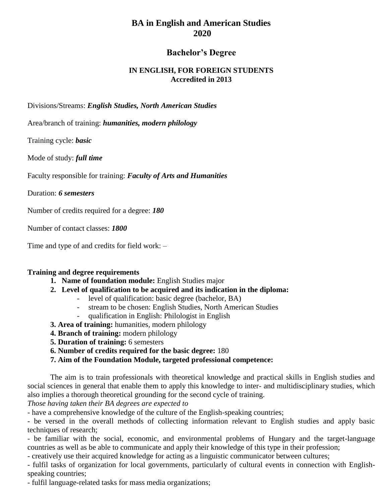# **BA in English and American Studies 2020**

## **Bachelor's Degree**

### **IN ENGLISH, FOR FOREIGN STUDENTS Accredited in 2013**

Divisions/Streams: *English Studies, North American Studies*

Area/branch of training: *humanities, modern philology*

Training cycle: *basic*

Mode of study: *full time*

Faculty responsible for training: *Faculty of Arts and Humanities*

Duration: *6 semesters*

Number of credits required for a degree: *180*

Number of contact classes: *1800*

Time and type of and credits for field work: –

#### **Training and degree requirements**

- **1. Name of foundation module:** English Studies major
- **2. Level of qualification to be acquired and its indication in the diploma:**
	- level of qualification: basic degree (bachelor, BA)
	- stream to be chosen: English Studies, North American Studies
	- qualification in English: Philologist in English
- **3. Area of training:** humanities, modern philology
- **4. Branch of training:** modern philology
- **5. Duration of training:** 6 semesters
- **6. Number of credits required for the basic degree:** 180
- **7. Aim of the Foundation Module, targeted professional competence:**

The aim is to train professionals with theoretical knowledge and practical skills in English studies and social sciences in general that enable them to apply this knowledge to inter- and multidisciplinary studies, which also implies a thorough theoretical grounding for the second cycle of training.

*Those having taken their BA degrees are expected to*

- have a comprehensive knowledge of the culture of the English-speaking countries;

- be versed in the overall methods of collecting information relevant to English studies and apply basic techniques of research;

- be familiar with the social, economic, and environmental problems of Hungary and the target-language countries as well as be able to communicate and apply their knowledge of this type in their profession;

- creatively use their acquired knowledge for acting as a linguistic communicator between cultures;

- fulfil tasks of organization for local governments, particularly of cultural events in connection with Englishspeaking countries;

- fulfil language-related tasks for mass media organizations;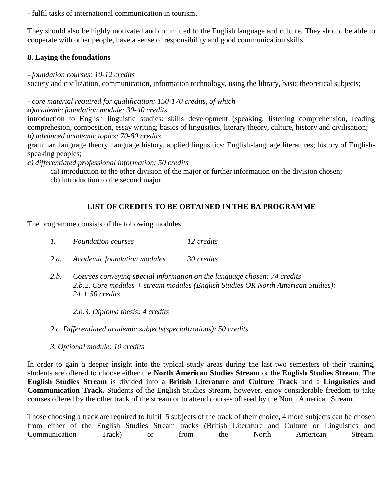- fulfil tasks of international communication in tourism.

They should also be highly motivated and committed to the English language and culture. They should be able to cooperate with other people, have a sense of responsibility and good communication skills.

### **8. Laying the foundations**

*- foundation courses: 10-12 credits*

society and civilization, communication, information technology, using the library, basic theoretical subjects;

*- core material required for qualification: 150-170 credits, of which*

*a)academic foundation module: 30-40 credits*

introduction to English linguistic studies: skills development (speaking, listening comprehension, reading comprehesion, composition, essay writing; basics of lingusitics, literary theory, culture, history and civilisation; *b) advanced academic topics: 70-80 credits*

grammar, language theory, language history, applied lingusitics; English-language literatures; history of Englishspeaking peoples;

*c) differentiated professional information: 50 credits*

ca) introduction to the other division of the major or further information on the division chosen;

cb) introduction to the second major.

# **LIST OF CREDITS TO BE OBTAINED IN THE BA PROGRAMME**

The programme consists of the following modules:

- *2.a. Academic foundation modules 30 credits*
- *2.b. Courses conveying special information on the language chosen: 74 credits 2.b.2. Core modules + stream modules (English Studies OR North American Studies): 24 + 50 credits*

*2.b.3. Diploma thesis: 4 credits*

*2.c. Differentiated academic subjects(specializations): 50 credits*

*3. Optional module: 10 credits*

In order to gain a deeper insight into the typical study areas during the last two semesters of their training, students are offered to choose either the **North American Studies Stream** or the **English Studies Stream**. The **English Studies Stream** is divided into a **British Literature and Culture Track** and a **Linguistics and Communication Track.** Students of the English Studies Stream, however, enjoy considerable freedom to take courses offered by the other track of the stream or to attend courses offered by the North American Stream.

Those choosing a track are required to fulfil 5 subjects of the track of their choice, 4 more subjects can be chosen from either of the English Studies Stream tracks (British Literature and Culture or Linguistics and Communication Track) or from the North American Stream.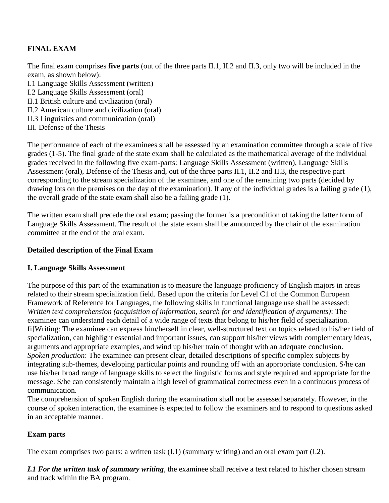# **FINAL EXAM**

The final exam comprises **five parts** (out of the three parts II.1, II.2 and II.3, only two will be included in the exam, as shown below):

- I.1 Language Skills Assessment (written) I.2 Language Skills Assessment (oral)
- II.1 British culture and civilization (oral)
- II.2 American culture and civilization (oral)
- II.3 Linguistics and communication (oral)
- III. Defense of the Thesis

The performance of each of the examinees shall be assessed by an examination committee through a scale of five grades (1-5). The final grade of the state exam shall be calculated as the mathematical average of the individual grades received in the following five exam-parts: Language Skills Assessment (written), Language Skills Assessment (oral), Defense of the Thesis and, out of the three parts II.1, II.2 and II.3, the respective part corresponding to the stream specialization of the examinee, and one of the remaining two parts (decided by drawing lots on the premises on the day of the examination). If any of the individual grades is a failing grade (1), the overall grade of the state exam shall also be a failing grade (1).

The written exam shall precede the oral exam; passing the former is a precondition of taking the latter form of Language Skills Assessment. The result of the state exam shall be announced by the chair of the examination committee at the end of the oral exam.

### **Detailed description of the Final Exam**

### **I. Language Skills Assessment**

The purpose of this part of the examination is to measure the language proficiency of English majors in areas related to their stream specialization field. Based upon the criteria for Level C1 of the Common European Framework of Reference for Languages, the following skills in functional language use shall be assessed: *Written text comprehension (acquisition of information, search for and identification of arguments)*: The examinee can understand each detail of a wide range of texts that belong to his/her field of specialization. fi]Writing: The examinee can express him/herself in clear, well-structured text on topics related to his/her field of specialization, can highlight essential and important issues, can support his/her views with complementary ideas, arguments and appropriate examples, and wind up his/her train of thought with an adequate conclusion. *Spoken production*: The examinee can present clear, detailed descriptions of specific complex subjects by integrating sub-themes, developing particular points and rounding off with an appropriate conclusion. S/he can use his/her broad range of language skills to select the linguistic forms and style required and appropriate for the message. S/he can consistently maintain a high level of grammatical correctness even in a continuous process of communication.

The comprehension of spoken English during the examination shall not be assessed separately. However, in the course of spoken interaction, the examinee is expected to follow the examiners and to respond to questions asked in an acceptable manner.

### **Exam parts**

The exam comprises two parts: a written task (I.1) (summary writing) and an oral exam part (I.2).

*I.1 For the written task of summary writing*, the examinee shall receive a text related to his/her chosen stream and track within the BA program.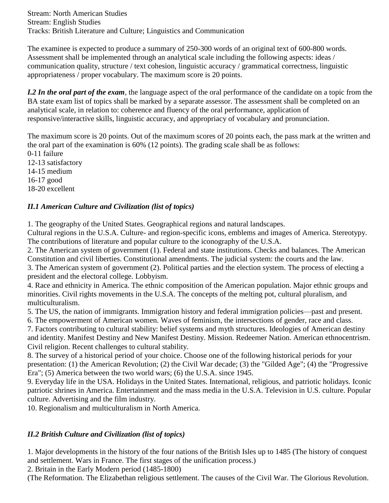Stream: North American Studies Stream: English Studies Tracks: British Literature and Culture; Linguistics and Communication

The examinee is expected to produce a summary of 250-300 words of an original text of 600-800 words. Assessment shall be implemented through an analytical scale including the following aspects: ideas / communication quality, structure / text cohesion, linguistic accuracy / grammatical correctness, linguistic appropriateness / proper vocabulary. The maximum score is 20 points.

*I.2 In the oral part of the exam*, the language aspect of the oral performance of the candidate on a topic from the BA state exam list of topics shall be marked by a separate assessor. The assessment shall be completed on an analytical scale, in relation to: coherence and fluency of the oral performance, application of responsive/interactive skills, linguistic accuracy, and appropriacy of vocabulary and pronunciation.

The maximum score is 20 points. Out of the maximum scores of 20 points each, the pass mark at the written and the oral part of the examination is 60% (12 points). The grading scale shall be as follows: 0-11 failure 12-13 satisfactory 14-15 medium 16-17 good

### 18-20 excellent

# *II.1 American Culture and Civilization (list of topics)*

1. The geography of the United States. Geographical regions and natural landscapes.

Cultural regions in the U.S.A. Culture- and region-specific icons, emblems and images of America. Stereotypy. The contributions of literature and popular culture to the iconography of the U.S.A.

2. The American system of government (1). Federal and state institutions. Checks and balances. The American Constitution and civil liberties. Constitutional amendments. The judicial system: the courts and the law.

3. The American system of government (2). Political parties and the election system. The process of electing a president and the electoral college. Lobbyism.

4. Race and ethnicity in America. The ethnic composition of the American population. Major ethnic groups and minorities. Civil rights movements in the U.S.A. The concepts of the melting pot, cultural pluralism, and multiculturalism.

5. The US, the nation of immigrants. Immigration history and federal immigration policies—past and present.

6. The empowerment of American women. Waves of feminism, the intersections of gender, race and class.

7. Factors contributing to cultural stability: belief systems and myth structures. Ideologies of American destiny and identity. Manifest Destiny and New Manifest Destiny. Mission. Redeemer Nation. American ethnocentrism. Civil religion. Recent challenges to cultural stability.

8. The survey of a historical period of your choice. Choose one of the following historical periods for your presentation: (1) the American Revolution; (2) the Civil War decade; (3) the "Gilded Age"; (4) the "Progressive Era"; (5) America between the two world wars; (6) the U.S.A. since 1945.

9. Everyday life in the USA. Holidays in the United States. International, religious, and patriotic holidays. Iconic patriotic shrines in America. Entertainment and the mass media in the U.S.A. Television in U.S. culture. Popular culture. Advertising and the film industry.

10. Regionalism and multiculturalism in North America.

### *II.2 British Culture and Civilization (list of topics)*

1. Major developments in the history of the four nations of the British Isles up to 1485 (The history of conquest and settlement. Wars in France. The first stages of the unification process.)

2. Britain in the Early Modern period (1485-1800)

(The Reformation. The Elizabethan religious settlement. The causes of the Civil War. The Glorious Revolution.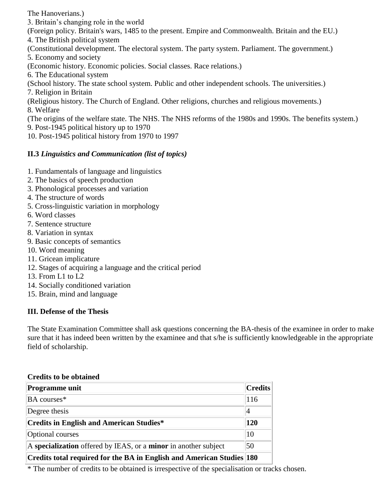The Hanoverians.)

3. Britain's changing role in the world

(Foreign policy. Britain's wars, 1485 to the present. Empire and Commonwealth. Britain and the EU.) 4. The British political system

(Constitutional development. The electoral system. The party system. Parliament. The government.)

5. Economy and society

(Economic history. Economic policies. Social classes. Race relations.)

6. The Educational system

(School history. The state school system. Public and other independent schools. The universities.) 7. Religion in Britain

(Religious history. The Church of England. Other religions, churches and religious movements.)

8. Welfare

(The origins of the welfare state. The NHS. The NHS reforms of the 1980s and 1990s. The benefits system.) 9. Post-1945 political history up to 1970

10. Post-1945 political history from 1970 to 1997

# **II.3** *Linguistics and Communication (list of topics)*

- 1. Fundamentals of language and linguistics
- 2. The basics of speech production
- 3. Phonological processes and variation
- 4. The structure of words
- 5. Cross-linguistic variation in morphology
- 6. Word classes
- 7. Sentence structure
- 8. Variation in syntax
- 9. Basic concepts of semantics
- 10. Word meaning
- 11. Gricean implicature
- 12. Stages of acquiring a language and the critical period
- 13. From L1 to L2
- 14. Socially conditioned variation
- 15. Brain, mind and language

# **III. Defense of the Thesis**

The State Examination Committee shall ask questions concerning the BA-thesis of the examinee in order to make sure that it has indeed been written by the examinee and that s/he is sufficiently knowledgeable in the appropriate field of scholarship.

### **Credits to be obtained**

| Programme unit                                                        | <b>Credits</b> |
|-----------------------------------------------------------------------|----------------|
| BA courses*                                                           | 116            |
| Degree thesis                                                         |                |
| <b>Credits in English and American Studies*</b>                       | 120            |
| Optional courses                                                      | 10             |
| A specialization offered by IEAS, or a minor in another subject       | 50             |
| Credits total required for the BA in English and American Studies 180 |                |

\* The number of credits to be obtained is irrespective of the specialisation or tracks chosen.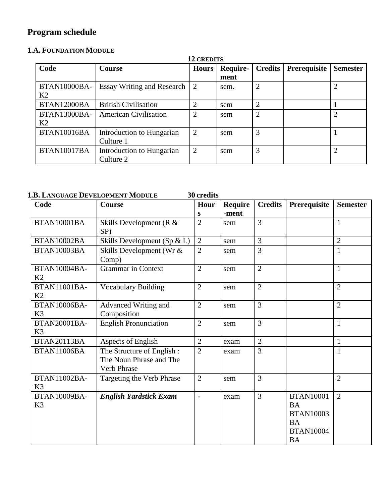# **Program schedule**

# **1.A. FOUNDATION MODULE**

|                                       | <b>12 CREDITS</b>                      |                |                  |                             |              |                 |  |  |
|---------------------------------------|----------------------------------------|----------------|------------------|-----------------------------|--------------|-----------------|--|--|
| Code                                  | <b>Course</b>                          | <b>Hours</b>   | Require-<br>ment | Credits                     | Prerequisite | <b>Semester</b> |  |  |
| BTAN10000BA-<br>K <sub>2</sub>        | <b>Essay Writing and Research</b>      | 2              | sem.             | $\overline{2}$              |              | $\overline{2}$  |  |  |
| BTAN12000BA                           | <b>British Civilisation</b>            | 2              | sem              | $\mathcal{D}_{\mathcal{L}}$ |              |                 |  |  |
| <b>BTAN13000BA-</b><br>K <sub>2</sub> | <b>American Civilisation</b>           | 2              | sem              | $\overline{2}$              |              |                 |  |  |
| <b>BTAN10016BA</b>                    | Introduction to Hungarian<br>Culture 1 | 2              | sem              | 3                           |              |                 |  |  |
| <b>BTAN10017BA</b>                    | Introduction to Hungarian<br>Culture 2 | $\overline{2}$ | sem              | 3                           |              | $\overline{2}$  |  |  |

## **1.B. LANGUAGE DEVELOPMENT MODULE 30 credits**

| Code                                  | Course                                                                     | Hour                     | <b>Require</b> | <b>Credits</b> | Prerequisite                                                                                    | <b>Semester</b> |
|---------------------------------------|----------------------------------------------------------------------------|--------------------------|----------------|----------------|-------------------------------------------------------------------------------------------------|-----------------|
|                                       |                                                                            | S                        | -ment          |                |                                                                                                 |                 |
| BTAN10001BA                           | Skills Development ( $R \&$<br>$SP$ )                                      | $\overline{2}$           | sem            | $\overline{3}$ |                                                                                                 | $\mathbf{1}$    |
| BTAN10002BA                           | Skills Development (Sp $\&$ L)                                             | $\overline{2}$           | sem            | 3              |                                                                                                 | $\overline{2}$  |
| BTAN10003BA                           | Skills Development (Wr &<br>Comp)                                          | $\overline{2}$           | sem            | 3              |                                                                                                 | 1               |
| BTAN10004BA-<br>K <sub>2</sub>        | <b>Grammar</b> in Context                                                  | $\overline{2}$           | sem            | $\overline{2}$ |                                                                                                 | $\mathbf{1}$    |
| <b>BTAN11001BA-</b><br>K <sub>2</sub> | <b>Vocabulary Building</b>                                                 | $\overline{2}$           | sem            | $\overline{2}$ |                                                                                                 | $\overline{2}$  |
| <b>BTAN10006BA-</b><br>K <sub>3</sub> | Advanced Writing and<br>Composition                                        | $\overline{2}$           | sem            | 3              |                                                                                                 | $\overline{2}$  |
| BTAN20001BA-<br>K <sub>3</sub>        | <b>English Pronunciation</b>                                               | $\overline{2}$           | sem            | 3              |                                                                                                 | $\mathbf{1}$    |
| <b>BTAN20113BA</b>                    | Aspects of English                                                         | $\overline{2}$           | exam           | $\overline{2}$ |                                                                                                 | $\mathbf{1}$    |
| BTAN11006BA                           | The Structure of English:<br>The Noun Phrase and The<br><b>Verb Phrase</b> | $\overline{2}$           | exam           | 3              |                                                                                                 | $\mathbf{1}$    |
| <b>BTAN11002BA-</b><br>K <sub>3</sub> | Targeting the Verb Phrase                                                  | $\overline{2}$           | sem            | 3              |                                                                                                 | $\overline{2}$  |
| <b>BTAN10009BA-</b><br>K <sub>3</sub> | <b>English Yardstick Exam</b>                                              | $\overline{\phantom{a}}$ | exam           | 3              | <b>BTAN10001</b><br><b>BA</b><br><b>BTAN10003</b><br><b>BA</b><br><b>BTAN10004</b><br><b>BA</b> | $\overline{2}$  |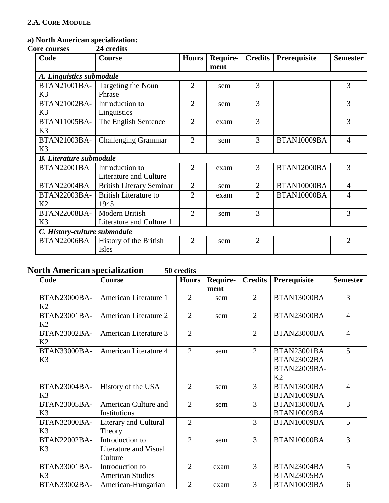# **a) North American specialization:**

 $\overline{\text{Core}}$  courses

| Code                           | <b>Course</b>                   | <b>Hours</b>   | Require- | <b>Credits</b> | Prerequisite | <b>Semester</b> |  |  |  |
|--------------------------------|---------------------------------|----------------|----------|----------------|--------------|-----------------|--|--|--|
|                                |                                 |                | ment     |                |              |                 |  |  |  |
|                                | A. Linguistics submodule        |                |          |                |              |                 |  |  |  |
| BTAN21001BA-                   | Targeting the Noun              | $\overline{2}$ | sem      | 3              |              | 3               |  |  |  |
| K3                             | Phrase                          |                |          |                |              |                 |  |  |  |
| BTAN21002BA-                   | Introduction to                 | $\overline{2}$ | sem      | 3              |              | 3               |  |  |  |
| K <sub>3</sub>                 | Linguistics                     |                |          |                |              |                 |  |  |  |
| <b>BTAN11005BA-</b>            | The English Sentence            | $\overline{2}$ | exam     | 3              |              | 3               |  |  |  |
| K3                             |                                 |                |          |                |              |                 |  |  |  |
| BTAN21003BA-                   | <b>Challenging Grammar</b>      | $\overline{2}$ | sem      | 3              | BTAN10009BA  | $\overline{4}$  |  |  |  |
| K <sub>3</sub>                 |                                 |                |          |                |              |                 |  |  |  |
| <b>B.</b> Literature-submodule |                                 |                |          |                |              |                 |  |  |  |
| <b>BTAN22001BA</b>             | Introduction to                 | $\overline{2}$ | exam     | 3              | BTAN12000BA  | 3               |  |  |  |
|                                | <b>Literature and Culture</b>   |                |          |                |              |                 |  |  |  |
| BTAN22004BA                    | <b>British Literary Seminar</b> | $\overline{2}$ | sem      | $\overline{2}$ | BTAN10000BA  | $\overline{4}$  |  |  |  |
| BTAN22003BA-                   | <b>British Literature to</b>    | $\overline{2}$ | exam     | $\overline{2}$ | BTAN10000BA  | 4               |  |  |  |
| K <sub>2</sub>                 | 1945                            |                |          |                |              |                 |  |  |  |
| BTAN22008BA-                   | Modern British                  | $\overline{2}$ | sem      | 3              |              | 3               |  |  |  |
| K3                             | Literature and Culture 1        |                |          |                |              |                 |  |  |  |
| C. History-culture submodule   |                                 |                |          |                |              |                 |  |  |  |
| <b>BTAN22006BA</b>             | History of the British          | $\overline{2}$ | sem      | $\overline{2}$ |              | $\overline{2}$  |  |  |  |
|                                | Isles                           |                |          |                |              |                 |  |  |  |

# **North American specialization 50 credits**

| Code                | Course                  | <b>Hours</b>   | Require- | <b>Credits</b> | Prerequisite       | <b>Semester</b> |
|---------------------|-------------------------|----------------|----------|----------------|--------------------|-----------------|
|                     |                         |                | ment     |                |                    |                 |
| <b>BTAN23000BA-</b> | American Literature 1   | $\overline{2}$ | sem      | $\overline{2}$ | BTAN13000BA        | 3               |
| K2                  |                         |                |          |                |                    |                 |
| BTAN23001BA-        | American Literature 2   | $\overline{2}$ | sem      | $\overline{2}$ | BTAN23000BA        | $\overline{4}$  |
| K2                  |                         |                |          |                |                    |                 |
| BTAN23002BA-        | American Literature 3   | $\overline{2}$ |          | $\overline{2}$ | BTAN23000BA        | $\overline{4}$  |
| K2                  |                         |                |          |                |                    |                 |
| <b>BTAN33000BA-</b> | American Literature 4   | $\overline{2}$ | sem      | $\overline{2}$ | <b>BTAN23001BA</b> | 5               |
| K <sub>3</sub>      |                         |                |          |                | BTAN23002BA        |                 |
|                     |                         |                |          |                | BTAN22009BA-       |                 |
|                     |                         |                |          |                | K <sub>2</sub>     |                 |
| <b>BTAN23004BA-</b> | History of the USA      | $\overline{2}$ | sem      | 3              | BTAN13000BA        | $\overline{4}$  |
| K3                  |                         |                |          |                | BTAN10009BA        |                 |
| BTAN23005BA-        | American Culture and    | $\overline{2}$ | sem      | 3              | BTAN13000BA        | 3               |
| K3                  | Institutions            |                |          |                | BTAN10009BA        |                 |
| BTAN32000BA-        | Literary and Cultural   | $\overline{2}$ |          | 3              | BTAN10009BA        | 5               |
| K3                  | Theory                  |                |          |                |                    |                 |
| BTAN22002BA-        | Introduction to         | $\overline{2}$ | sem      | 3              | BTAN10000BA        | 3               |
| K <sub>3</sub>      | Literature and Visual   |                |          |                |                    |                 |
|                     | Culture                 |                |          |                |                    |                 |
| BTAN33001BA-        | Introduction to         | $\overline{2}$ | exam     | 3              | BTAN23004BA        | 5               |
| K <sub>3</sub>      | <b>American Studies</b> |                |          |                | BTAN23005BA        |                 |
| BTAN33002BA-        | American-Hungarian      | $\overline{2}$ | exam     | 3              | BTAN10009BA        | 6               |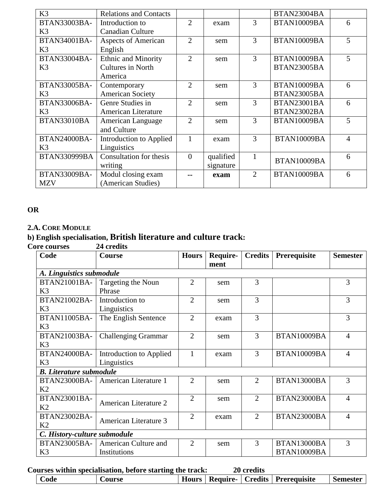| K <sub>3</sub>      | <b>Relations and Contacts</b>  |                |           |                | BTAN23004BA |   |
|---------------------|--------------------------------|----------------|-----------|----------------|-------------|---|
| BTAN33003BA-        | Introduction to                | $\overline{2}$ | exam      | 3              | BTAN10009BA | 6 |
| K <sub>3</sub>      | <b>Canadian Culture</b>        |                |           |                |             |   |
| <b>BTAN34001BA-</b> | <b>Aspects of American</b>     | $\overline{2}$ | sem       | 3              | BTAN10009BA | 5 |
| K <sub>3</sub>      | English                        |                |           |                |             |   |
| BTAN33004BA-        | Ethnic and Minority            | $\overline{2}$ | sem       | 3              | BTAN10009BA | 5 |
| K <sub>3</sub>      | Cultures in North              |                |           |                | BTAN23005BA |   |
|                     | America                        |                |           |                |             |   |
| <b>BTAN33005BA-</b> | Contemporary                   | $\overline{2}$ | sem       | 3              | BTAN10009BA | 6 |
| K <sub>3</sub>      | <b>American Society</b>        |                |           |                | BTAN23005BA |   |
| BTAN33006BA-        | Genre Studies in               | $\overline{2}$ | sem       | 3              | BTAN23001BA | 6 |
| K <sub>3</sub>      | American Literature            |                |           |                | BTAN23002BA |   |
| BTAN33010BA         | American Language              | $\overline{2}$ | sem       | 3              | BTAN10009BA | 5 |
|                     | and Culture                    |                |           |                |             |   |
| BTAN24000BA-        | Introduction to Applied        | 1              | exam      | 3              | BTAN10009BA | 4 |
| K <sub>3</sub>      | Linguistics                    |                |           |                |             |   |
| <b>BTAN330999BA</b> | <b>Consultation</b> for thesis | $\theta$       | qualified |                | BTAN10009BA | 6 |
|                     | writing                        |                | signature |                |             |   |
| BTAN33009BA-        | Modul closing exam             |                | exam      | $\overline{2}$ | BTAN10009BA | 6 |
| <b>MZV</b>          | (American Studies)             |                |           |                |             |   |

### **OR**

#### **2.A. CORE MODULE**

# **b) English specialisation, British literature and culture track:**

**Core courses** 

| Code                           | Course                     | <b>Hours</b>   | Require- | <b>Credits</b> | Prerequisite | <b>Semester</b> |  |  |  |
|--------------------------------|----------------------------|----------------|----------|----------------|--------------|-----------------|--|--|--|
|                                |                            |                | ment     |                |              |                 |  |  |  |
|                                | A. Linguistics submodule   |                |          |                |              |                 |  |  |  |
| BTAN21001BA-                   | Targeting the Noun         | $\overline{2}$ | sem      | 3              |              | 3               |  |  |  |
| K <sub>3</sub>                 | Phrase                     |                |          |                |              |                 |  |  |  |
| BTAN21002BA-                   | Introduction to            | $\overline{2}$ | sem      | 3              |              | 3               |  |  |  |
| K3                             | Linguistics                |                |          |                |              |                 |  |  |  |
| <b>BTAN11005BA-</b>            | The English Sentence       | $\overline{2}$ | exam     | 3              |              | 3               |  |  |  |
| K3                             |                            |                |          |                |              |                 |  |  |  |
| BTAN21003BA-                   | <b>Challenging Grammar</b> | $\overline{2}$ | sem      | 3              | BTAN10009BA  | 4               |  |  |  |
| K <sub>3</sub>                 |                            |                |          |                |              |                 |  |  |  |
| <b>BTAN24000BA-</b>            | Introduction to Applied    | 1              | exam     | 3              | BTAN10009BA  | 4               |  |  |  |
| K <sub>3</sub>                 | Linguistics                |                |          |                |              |                 |  |  |  |
| <b>B.</b> Literature submodule |                            |                |          |                |              |                 |  |  |  |
| <b>BTAN23000BA-</b>            | American Literature 1      | $\overline{2}$ | sem      | $\overline{2}$ | BTAN13000BA  | 3               |  |  |  |
| K2                             |                            |                |          |                |              |                 |  |  |  |
| BTAN23001BA-                   | American Literature 2      | $\overline{2}$ | sem      | $\overline{2}$ | BTAN23000BA  | 4               |  |  |  |
| K <sub>2</sub>                 |                            |                |          |                |              |                 |  |  |  |
| BTAN23002BA-                   | American Literature 3      | $\overline{2}$ | exam     | $\overline{2}$ | BTAN23000BA  | $\overline{4}$  |  |  |  |
| K2                             |                            |                |          |                |              |                 |  |  |  |
| C. History-culture submodule   |                            |                |          |                |              |                 |  |  |  |
| <b>BTAN23005BA-</b>            | American Culture and       | $\overline{2}$ | sem      | 3              | BTAN13000BA  | 3               |  |  |  |
| K <sub>3</sub>                 | Institutions               |                |          |                | BTAN10009BA  |                 |  |  |  |

**Courses within specialisation, before starting the track: 20 credits**

|  | $\mathbf{\color{red}\sim}$ ode | <b>Course</b> | Hours |  | <b>Require-</b> | <b>Credits</b> | Prerequisite |  | <b>Semester</b> |
|--|--------------------------------|---------------|-------|--|-----------------|----------------|--------------|--|-----------------|
|--|--------------------------------|---------------|-------|--|-----------------|----------------|--------------|--|-----------------|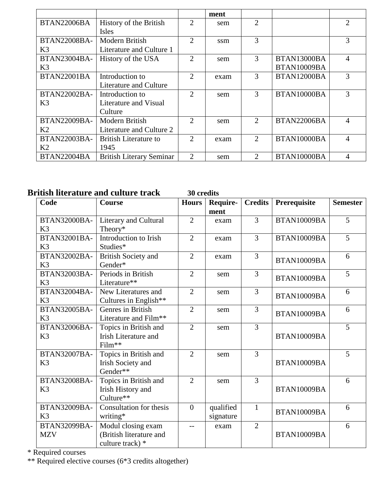|                     |                                 |                             | ment |                             |             |                |
|---------------------|---------------------------------|-----------------------------|------|-----------------------------|-------------|----------------|
| <b>BTAN22006BA</b>  | History of the British          | 2                           | sem  | $\mathcal{D}_{\mathcal{L}}$ |             | $\overline{2}$ |
|                     | <b>Isles</b>                    |                             |      |                             |             |                |
| <b>BTAN22008BA-</b> | Modern British                  | 2                           | ssm  | 3                           |             | 3              |
| K <sub>3</sub>      | Literature and Culture 1        |                             |      |                             |             |                |
| BTAN23004BA-        | History of the USA              | 2                           | sem  | 3                           | BTAN13000BA | 4              |
| K <sub>3</sub>      |                                 |                             |      |                             | BTAN10009BA |                |
| <b>BTAN22001BA</b>  | Introduction to                 | $\mathcal{D}_{\mathcal{L}}$ | exam | 3                           | BTAN12000BA | 3              |
|                     | Literature and Culture          |                             |      |                             |             |                |
| <b>BTAN22002BA-</b> | Introduction to                 | $\mathcal{D}_{\cdot}$       | sem  | 3                           | BTAN10000BA | 3              |
| K <sub>3</sub>      | Literature and Visual           |                             |      |                             |             |                |
|                     | Culture                         |                             |      |                             |             |                |
| BTAN22009BA-        | Modern British                  | $\mathfrak{D}$              | sem  | $\mathcal{D}_{\mathcal{L}}$ | BTAN22006BA | $\overline{4}$ |
| K2                  | Literature and Culture 2        |                             |      |                             |             |                |
| BTAN22003BA-        | British Literature to           | $\mathcal{D}_{\cdot}$       | exam | $\mathcal{D}_{\mathcal{L}}$ | BTAN10000BA | 4              |
| K2                  | 1945                            |                             |      |                             |             |                |
| <b>BTAN22004BA</b>  | <b>British Literary Seminar</b> | $\overline{2}$              | sem  | $\mathcal{D}_{\mathcal{L}}$ | BTAN10000BA | 4              |

# **British literature and culture track 30 credits**

| Code                                  | Course                                                            | <b>Hours</b>   | Require-<br>ment       | <b>Credits</b> | Prerequisite | <b>Semester</b> |
|---------------------------------------|-------------------------------------------------------------------|----------------|------------------------|----------------|--------------|-----------------|
| <b>BTAN32000BA-</b><br>K <sub>3</sub> | Literary and Cultural<br>Theory*                                  | $\overline{2}$ | exam                   | 3              | BTAN10009BA  | 5               |
| BTAN32001BA-<br>K <sub>3</sub>        | Introduction to Irish<br>Studies*                                 | $\overline{2}$ | exam                   | 3              | BTAN10009BA  | 5               |
| BTAN32002BA-<br>K3                    | <b>British Society and</b><br>Gender*                             | $\overline{2}$ | exam                   | 3              | BTAN10009BA  | 6               |
| BTAN32003BA-<br>K <sub>3</sub>        | Periods in British<br>Literature**                                | $\overline{2}$ | sem                    | $\overline{3}$ | BTAN10009BA  | 5               |
| BTAN32004BA-<br>K <sub>3</sub>        | New Literatures and<br>Cultures in English**                      | $\overline{2}$ | sem                    | 3              | BTAN10009BA  | 6               |
| BTAN32005BA-<br>K3                    | Genres in British<br>Literature and Film**                        | $\overline{2}$ | sem                    | 3              | BTAN10009BA  | 6               |
| <b>BTAN32006BA-</b><br>K <sub>3</sub> | Topics in British and<br><b>Irish Literature and</b><br>Film**    | $\overline{2}$ | sem                    | $\overline{3}$ | BTAN10009BA  | 5               |
| <b>BTAN32007BA-</b><br>K3             | Topics in British and<br><b>Irish Society and</b><br>Gender**     | $\overline{2}$ | sem                    | 3              | BTAN10009BA  | 5               |
| <b>BTAN32008BA-</b><br>K <sub>3</sub> | Topics in British and<br><b>Irish History and</b><br>Culture**    | $\overline{2}$ | sem                    | 3              | BTAN10009BA  | 6               |
| BTAN32009BA-<br>K <sub>3</sub>        | Consultation for thesis<br>writing*                               | $\overline{0}$ | qualified<br>signature | 1              | BTAN10009BA  | 6               |
| BTAN32099BA-<br><b>MZV</b>            | Modul closing exam<br>(British literature and<br>culture track) * | $-$            | exam                   | $\overline{2}$ | BTAN10009BA  | 6               |

\* Required courses

\*\* Required elective courses (6\*3 credits altogether)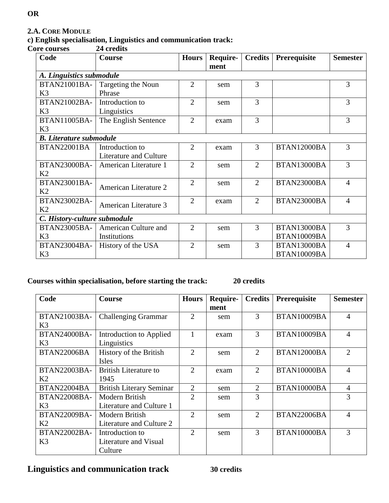### **2.A. CORE MODULE**

# **c) English specialisation, Linguistics and communication track:**

**Core courses 24 credits**

| Code                           | Course                 | <b>Hours</b>   | Require- | <b>Credits</b> | Prerequisite | <b>Semester</b> |  |  |
|--------------------------------|------------------------|----------------|----------|----------------|--------------|-----------------|--|--|
|                                |                        |                | ment     |                |              |                 |  |  |
| A. Linguistics submodule       |                        |                |          |                |              |                 |  |  |
| BTAN21001BA-                   | Targeting the Noun     | 2              | sem      | 3              |              | 3               |  |  |
| K3                             | Phrase                 |                |          |                |              |                 |  |  |
| BTAN21002BA-                   | Introduction to        | $\overline{2}$ | sem      | 3              |              | 3               |  |  |
| K3                             | Linguistics            |                |          |                |              |                 |  |  |
| <b>BTAN11005BA-</b>            | The English Sentence   | $\overline{2}$ | exam     | 3              |              | 3               |  |  |
| K3                             |                        |                |          |                |              |                 |  |  |
| <b>B.</b> Literature submodule |                        |                |          |                |              |                 |  |  |
| <b>BTAN22001BA</b>             | Introduction to        | $\overline{2}$ | exam     | 3              | BTAN12000BA  | 3               |  |  |
|                                | Literature and Culture |                |          |                |              |                 |  |  |
| <b>BTAN23000BA-</b>            | American Literature 1  | $\overline{2}$ | sem      | $\overline{2}$ | BTAN13000BA  | 3               |  |  |
| K <sub>2</sub>                 |                        |                |          |                |              |                 |  |  |
| BTAN23001BA-                   | American Literature 2  | $\overline{2}$ | sem      | $\overline{2}$ | BTAN23000BA  | 4               |  |  |
| K2                             |                        |                |          |                |              |                 |  |  |
| BTAN23002BA-                   | American Literature 3  | $\overline{2}$ | exam     | $\overline{2}$ | BTAN23000BA  | $\overline{4}$  |  |  |
| K <sub>2</sub>                 |                        |                |          |                |              |                 |  |  |
| C. History-culture submodule   |                        |                |          |                |              |                 |  |  |
| BTAN23005BA-                   | American Culture and   | $\overline{2}$ | sem      | 3              | BTAN13000BA  | 3               |  |  |
| K3                             | Institutions           |                |          |                | BTAN10009BA  |                 |  |  |
| <b>BTAN23004BA-</b>            | History of the USA     | $\overline{2}$ | sem      | 3              | BTAN13000BA  | $\overline{4}$  |  |  |
| K3                             |                        |                |          |                | BTAN10009BA  |                 |  |  |

### **Courses within specialisation, before starting the track: 20 credits**

| Code                | <b>Course</b>                   | <b>Hours</b>   | Require- | <b>Credits</b> | Prerequisite | <b>Semester</b> |
|---------------------|---------------------------------|----------------|----------|----------------|--------------|-----------------|
|                     |                                 |                | ment     |                |              |                 |
| BTAN21003BA-        | <b>Challenging Grammar</b>      | $\overline{2}$ | sem      | 3              | BTAN10009BA  | 4               |
| K <sub>3</sub>      |                                 |                |          |                |              |                 |
| BTAN24000BA-        | Introduction to Applied         | 1              | exam     | 3              | BTAN10009BA  | $\overline{4}$  |
| K <sub>3</sub>      | Linguistics                     |                |          |                |              |                 |
| BTAN22006BA         | History of the British          | $\overline{2}$ | sem      | 2              | BTAN12000BA  | $\overline{2}$  |
|                     | Isles                           |                |          |                |              |                 |
| BTAN22003BA-        | <b>British Literature to</b>    | $\overline{2}$ | exam     | $\overline{2}$ | BTAN10000BA  | 4               |
| K <sub>2</sub>      | 1945                            |                |          |                |              |                 |
| BTAN22004BA         | <b>British Literary Seminar</b> | $\overline{2}$ | sem      | $\overline{2}$ | BTAN10000BA  | 4               |
| <b>BTAN22008BA-</b> | Modern British                  | $\overline{2}$ | sem      | 3              |              | 3               |
| K <sub>3</sub>      | Literature and Culture 1        |                |          |                |              |                 |
| <b>BTAN22009BA-</b> | Modern British                  | $\overline{2}$ | sem      | 2              | BTAN22006BA  | 4               |
| K2                  | Literature and Culture 2        |                |          |                |              |                 |
| BTAN22002BA-        | Introduction to                 | $\overline{2}$ | sem      | 3              | BTAN10000BA  | 3               |
| K <sub>3</sub>      | Literature and Visual           |                |          |                |              |                 |
|                     | Culture                         |                |          |                |              |                 |

**Linguistics and communication track 30 credits**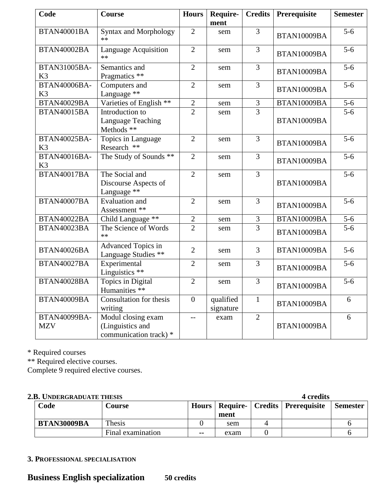| Code                                  | Course                                                           | <b>Hours</b>   | Require-<br>ment       | <b>Credits</b> | Prerequisite | <b>Semester</b>  |
|---------------------------------------|------------------------------------------------------------------|----------------|------------------------|----------------|--------------|------------------|
| BTAN40001BA                           | <b>Syntax and Morphology</b><br>$**$                             | $\overline{2}$ | sem                    | 3              | BTAN10009BA  | $5-6$            |
| BTAN40002BA                           | <b>Language Acquisition</b><br>$**$                              | $\overline{2}$ | sem                    | $\overline{3}$ | BTAN10009BA  | $5-6$            |
| <b>BTAN31005BA-</b><br>K <sub>3</sub> | Semantics and<br>Pragmatics **                                   | $\overline{2}$ | sem                    | $\overline{3}$ | BTAN10009BA  | $\overline{5-6}$ |
| BTAN40006BA-<br>K <sub>3</sub>        | Computers and<br>Language **                                     | $\overline{2}$ | sem                    | 3              | BTAN10009BA  | $5-6$            |
| <b>BTAN40029BA</b>                    | Varieties of English **                                          | $\overline{2}$ | sem                    | $\mathfrak{Z}$ | BTAN10009BA  | $5-6$            |
| <b>BTAN40015BA</b>                    | Introduction to<br>Language Teaching<br>Methods **               | $\overline{2}$ | sem                    | $\overline{3}$ | BTAN10009BA  | $5-6$            |
| <b>BTAN40025BA-</b><br>K <sub>3</sub> | Topics in Language<br>Research **                                | $\overline{2}$ | sem                    | $\overline{3}$ | BTAN10009BA  | $5-6$            |
| <b>BTAN40016BA-</b><br>K <sub>3</sub> | The Study of Sounds **                                           | $\overline{2}$ | sem                    | 3              | BTAN10009BA  | $5 - 6$          |
| <b>BTAN40017BA</b>                    | The Social and<br>Discourse Aspects of<br>Language **            | $\overline{2}$ | sem                    | $\overline{3}$ | BTAN10009BA  | $5-6$            |
| BTAN40007BA                           | <b>Evaluation</b> and<br>Assessment **                           | $\overline{2}$ | sem                    | 3              | BTAN10009BA  | $5 - 6$          |
| BTAN40022BA                           | Child Language **                                                | $\overline{2}$ | sem                    | $\mathfrak{Z}$ | BTAN10009BA  | $5-6$            |
| BTAN40023BA                           | The Science of Words<br>$**$                                     | $\overline{2}$ | sem                    | 3              | BTAN10009BA  | $5-6$            |
| BTAN40026BA                           | <b>Advanced Topics in</b><br>Language Studies **                 | $\overline{2}$ | sem                    | 3              | BTAN10009BA  | $5-6$            |
| BTAN40027BA                           | Experimental<br>Linguistics **                                   | $\overline{2}$ | sem                    | 3              | BTAN10009BA  | $5-6$            |
| <b>BTAN40028BA</b>                    | Topics in Digital<br>Humanities **                               | $\overline{2}$ | sem                    | 3              | BTAN10009BA  | $5-6$            |
| BTAN40009BA                           | Consultation for thesis<br>writing                               | $\overline{0}$ | qualified<br>signature | $\mathbf{1}$   | BTAN10009BA  | 6                |
| BTAN40099BA-<br><b>MZV</b>            | Modul closing exam<br>(Linguistics and<br>communication track) * | $-$            | exam                   | $\overline{2}$ | BTAN10009BA  | 6                |

\* Required courses

\*\* Required elective courses.

Complete 9 required elective courses.

### **2.B. UNDERGRADUATE THESIS 4 credits**

| Code        | Course            | Hours         | ment | <b>Require-</b>   Credits   Prerequisite | <b>Semester</b> |
|-------------|-------------------|---------------|------|------------------------------------------|-----------------|
| BTAN30009BA | Thesis            |               | sem  |                                          |                 |
|             | Final examination | $\sim$ $\sim$ | exam |                                          |                 |

### **3. PROFESSIONAL SPECIALISATION**